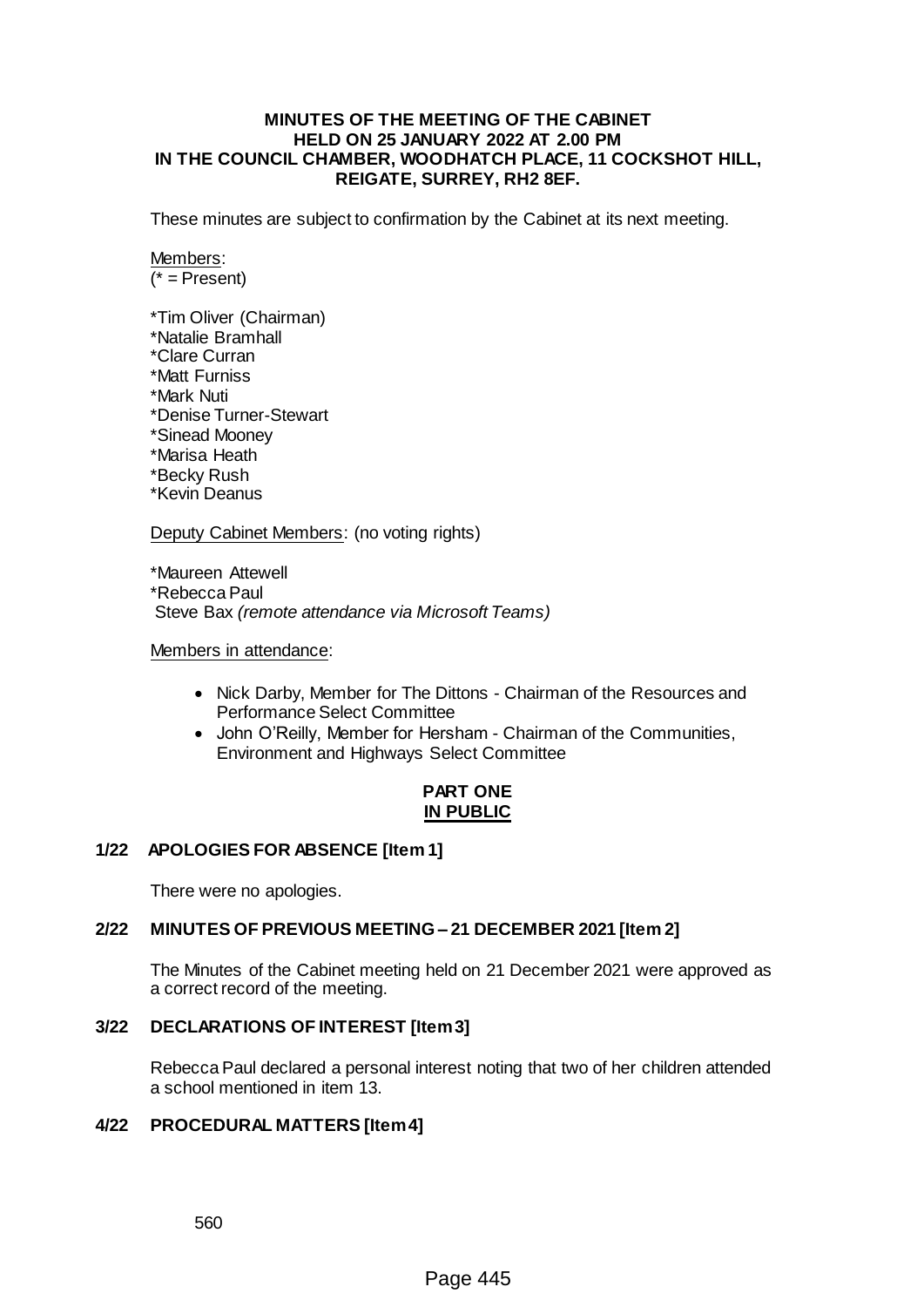#### **MINUTES OF THE MEETING OF THE CABINET HELD ON 25 JANUARY 2022 AT 2.00 PM IN THE COUNCIL CHAMBER, WOODHATCH PLACE, 11 COCKSHOT HILL, REIGATE, SURREY, RH2 8EF.**

These minutes are subject to confirmation by the Cabinet at its next meeting.

Members:  $(* = Present)$ 

\*Tim Oliver (Chairman) \*Natalie Bramhall \*Clare Curran \*Matt Furniss \*Mark Nuti \*Denise Turner-Stewart \*Sinead Mooney \*Marisa Heath \*Becky Rush \*Kevin Deanus

Deputy Cabinet Members: (no voting rights)

\*Maureen Attewell \*Rebecca Paul Steve Bax *(remote attendance via Microsoft Teams)*

Members in attendance:

- Nick Darby, Member for The Dittons Chairman of the Resources and Performance Select Committee
- John O'Reilly, Member for Hersham Chairman of the Communities, Environment and Highways Select Committee

# **PART ONE IN PUBLIC**

## **1/22 APOLOGIES FOR ABSENCE [Item 1]**

There were no apologies.

#### **2/22 MINUTES OF PREVIOUS MEETING – 21 DECEMBER 2021 [Item 2]**

The Minutes of the Cabinet meeting held on 21 December 2021 were approved as a correct record of the meeting.

#### **3/22 DECLARATIONS OF INTEREST [Item 3]**

Rebecca Paul declared a personal interest noting that two of her children attended a school mentioned in item 13.

## **4/22 PROCEDURAL MATTERS [Item 4]**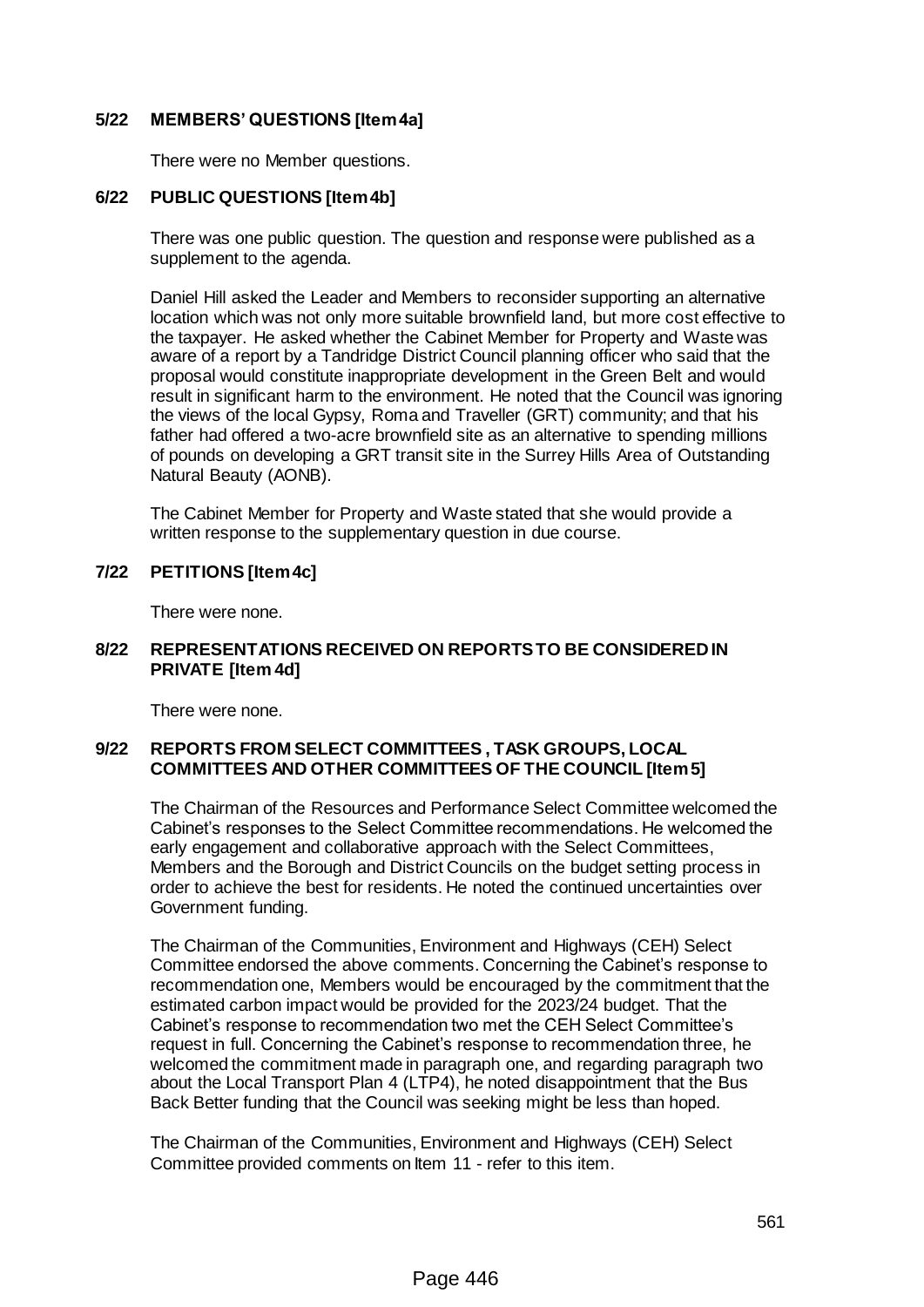## **5/22 MEMBERS' QUESTIONS [Item 4a]**

There were no Member questions.

## **6/22 PUBLIC QUESTIONS [Item 4b]**

There was one public question. The question and response were published as a supplement to the agenda.

Daniel Hill asked the Leader and Members to reconsider supporting an alternative location which was not only more suitable brownfield land, but more cost effective to the taxpayer. He asked whether the Cabinet Member for Property and Waste was aware of a report by a Tandridge District Council planning officer who said that the proposal would constitute inappropriate development in the Green Belt and would result in significant harm to the environment. He noted that the Council was ignoring the views of the local Gypsy, Roma and Traveller (GRT) community; and that his father had offered a two-acre brownfield site as an alternative to spending millions of pounds on developing a GRT transit site in the Surrey Hills Area of Outstanding Natural Beauty (AONB).

The Cabinet Member for Property and Waste stated that she would provide a written response to the supplementary question in due course.

#### **7/22 PETITIONS [Item 4c]**

There were none.

#### **8/22 REPRESENTATIONS RECEIVED ON REPORTS TO BE CONSIDERED IN PRIVATE [Item 4d]**

There were none.

## **9/22 REPORTS FROM SELECT COMMITTEES , TASK GROUPS, LOCAL COMMITTEES AND OTHER COMMITTEES OF THE COUNCIL [Item 5]**

The Chairman of the Resources and Performance Select Committee welcomed the Cabinet's responses to the Select Committee recommendations. He welcomed the early engagement and collaborative approach with the Select Committees, Members and the Borough and District Councils on the budget setting process in order to achieve the best for residents. He noted the continued uncertainties over Government funding.

The Chairman of the Communities, Environment and Highways (CEH) Select Committee endorsed the above comments. Concerning the Cabinet's response to recommendation one, Members would be encouraged by the commitment that the estimated carbon impact would be provided for the 2023/24 budget. That the Cabinet's response to recommendation two met the CEH Select Committee's request in full. Concerning the Cabinet's response to recommendation three, he welcomed the commitment made in paragraph one, and regarding paragraph two about the Local Transport Plan 4 (LTP4), he noted disappointment that the Bus Back Better funding that the Council was seeking might be less than hoped.

The Chairman of the Communities, Environment and Highways (CEH) Select Committee provided comments on Item 11 - refer to this item.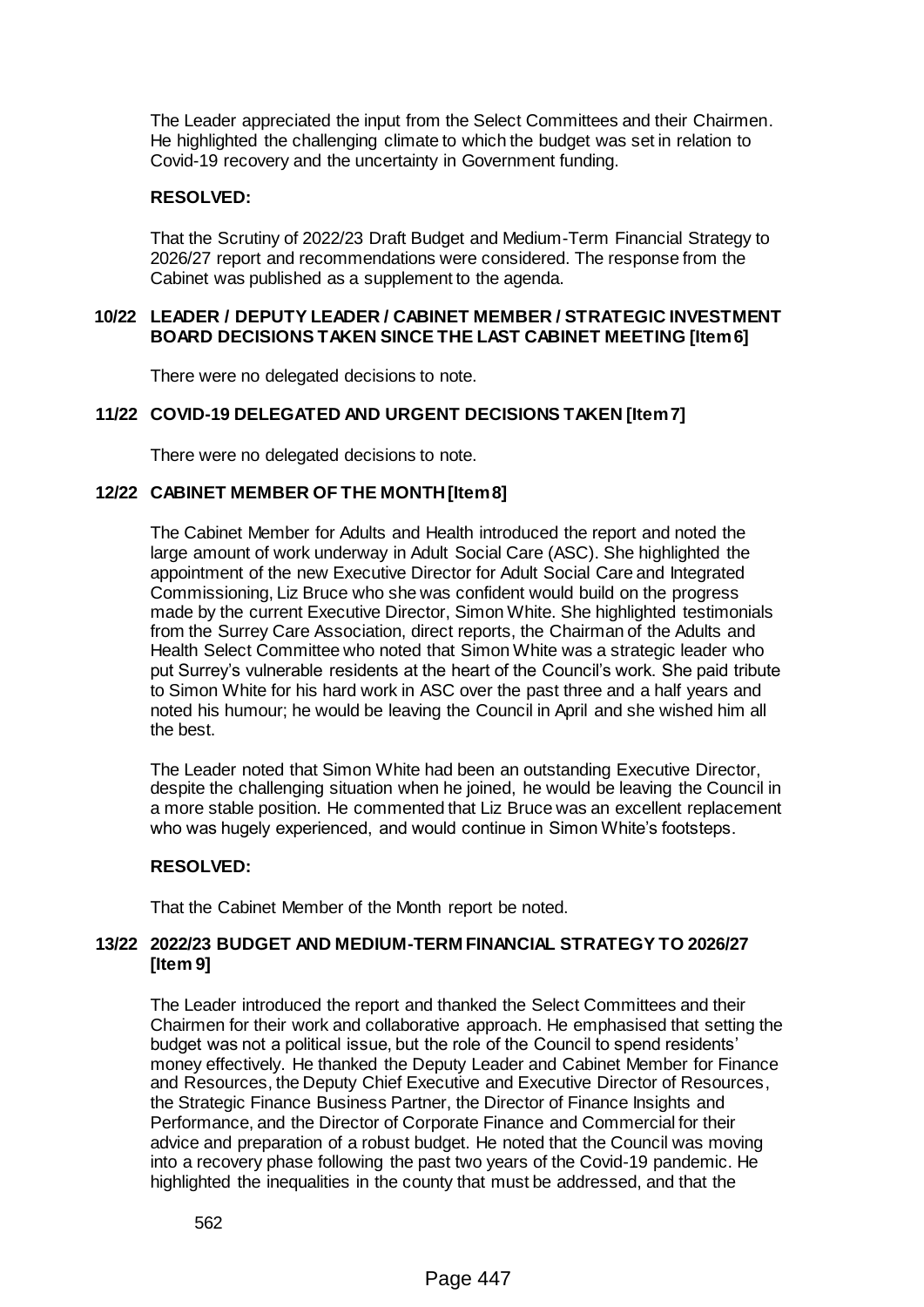The Leader appreciated the input from the Select Committees and their Chairmen. He highlighted the challenging climate to which the budget was set in relation to Covid-19 recovery and the uncertainty in Government funding.

### **RESOLVED:**

That the Scrutiny of 2022/23 Draft Budget and Medium-Term Financial Strategy to 2026/27 report and recommendations were considered. The response from the Cabinet was published as a supplement to the agenda.

#### **10/22 LEADER / DEPUTY LEADER / CABINET MEMBER / STRATEGIC INVESTMENT BOARD DECISIONS TAKEN SINCE THE LAST CABINET MEETING [Item 6]**

There were no delegated decisions to note.

## **11/22 COVID-19 DELEGATED AND URGENT DECISIONS TAKEN [Item 7]**

There were no delegated decisions to note.

## **12/22 CABINET MEMBER OF THE MONTH [Item 8]**

The Cabinet Member for Adults and Health introduced the report and noted the large amount of work underway in Adult Social Care (ASC). She highlighted the appointment of the new Executive Director for Adult Social Care and Integrated Commissioning, Liz Bruce who she was confident would build on the progress made by the current Executive Director, Simon White. She highlighted testimonials from the Surrey Care Association, direct reports, the Chairman of the Adults and Health Select Committee who noted that Simon White was a strategic leader who put Surrey's vulnerable residents at the heart of the Council's work. She paid tribute to Simon White for his hard work in ASC over the past three and a half years and noted his humour; he would be leaving the Council in April and she wished him all the best.

The Leader noted that Simon White had been an outstanding Executive Director, despite the challenging situation when he joined, he would be leaving the Council in a more stable position. He commented that Liz Bruce was an excellent replacement who was hugely experienced, and would continue in Simon White's footsteps.

#### **RESOLVED:**

That the Cabinet Member of the Month report be noted.

#### **13/22 2022/23 BUDGET AND MEDIUM-TERM FINANCIAL STRATEGY TO 2026/27 [Item 9]**

The Leader introduced the report and thanked the Select Committees and their Chairmen for their work and collaborative approach. He emphasised that setting the budget was not a political issue, but the role of the Council to spend residents' money effectively. He thanked the Deputy Leader and Cabinet Member for Finance and Resources, the Deputy Chief Executive and Executive Director of Resources, the Strategic Finance Business Partner, the Director of Finance Insights and Performance, and the Director of Corporate Finance and Commercial for their advice and preparation of a robust budget. He noted that the Council was moving into a recovery phase following the past two years of the Covid-19 pandemic. He highlighted the inequalities in the county that must be addressed, and that the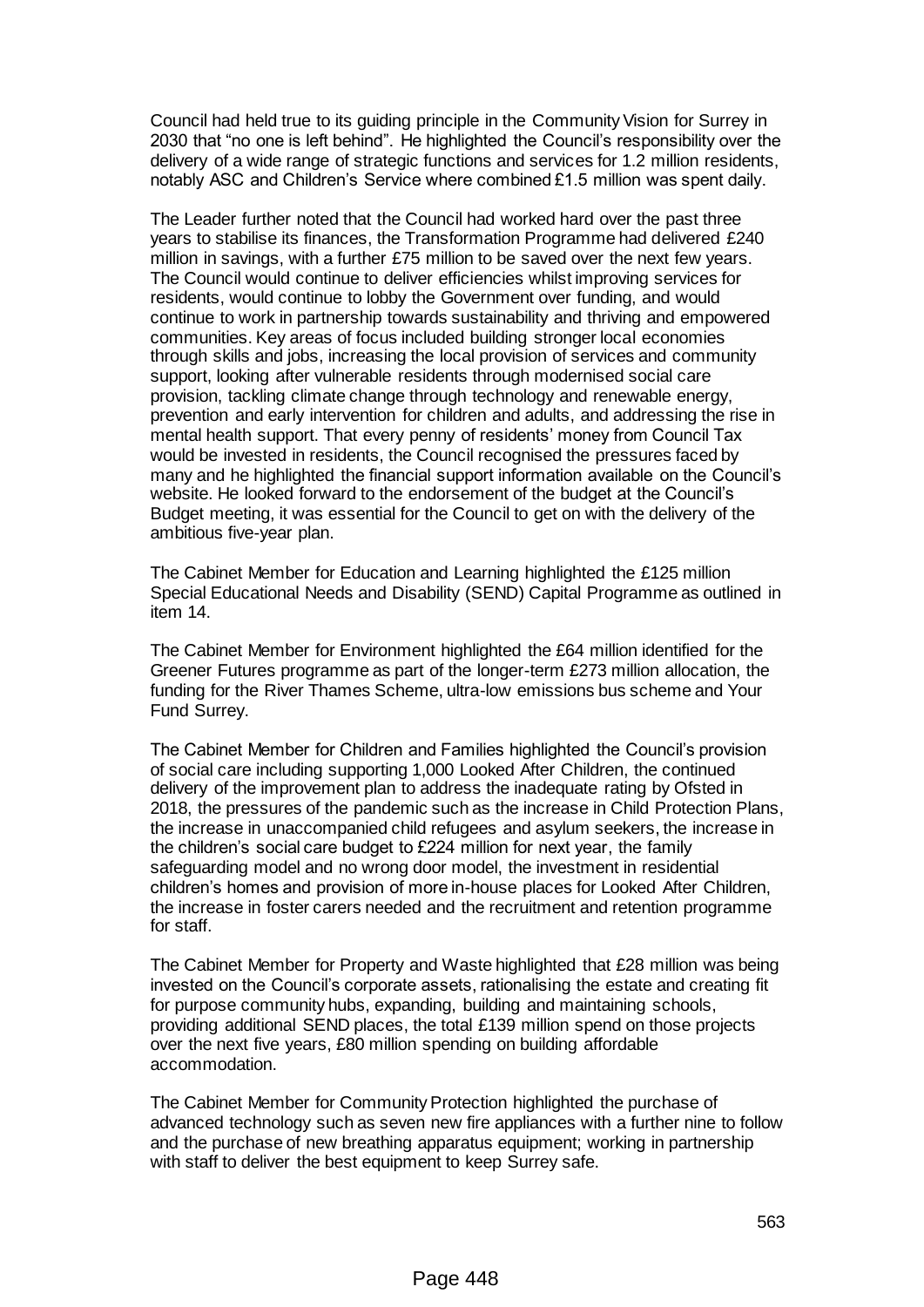Council had held true to its guiding principle in the Community Vision for Surrey in 2030 that "no one is left behind". He highlighted the Council's responsibility over the delivery of a wide range of strategic functions and services for 1.2 million residents, notably ASC and Children's Service where combined £1.5 million was spent daily.

The Leader further noted that the Council had worked hard over the past three years to stabilise its finances, the Transformation Programme had delivered £240 million in savings, with a further £75 million to be saved over the next few years. The Council would continue to deliver efficiencies whilst improving services for residents, would continue to lobby the Government over funding, and would continue to work in partnership towards sustainability and thriving and empowered communities. Key areas of focus included building stronger local economies through skills and jobs, increasing the local provision of services and community support, looking after vulnerable residents through modernised social care provision, tackling climate change through technology and renewable energy, prevention and early intervention for children and adults, and addressing the rise in mental health support. That every penny of residents' money from Council Tax would be invested in residents, the Council recognised the pressures faced by many and he highlighted the financial support information available on the Council's website. He looked forward to the endorsement of the budget at the Council's Budget meeting, it was essential for the Council to get on with the delivery of the ambitious five-year plan.

The Cabinet Member for Education and Learning highlighted the £125 million Special Educational Needs and Disability (SEND) Capital Programme as outlined in item 14.

The Cabinet Member for Environment highlighted the £64 million identified for the Greener Futures programme as part of the longer-term £273 million allocation, the funding for the River Thames Scheme, ultra-low emissions bus scheme and Your Fund Surrey.

The Cabinet Member for Children and Families highlighted the Council's provision of social care including supporting 1,000 Looked After Children, the continued delivery of the improvement plan to address the inadequate rating by Ofsted in 2018, the pressures of the pandemic such as the increase in Child Protection Plans, the increase in unaccompanied child refugees and asylum seekers, the increase in the children's social care budget to £224 million for next year, the family safeguarding model and no wrong door model, the investment in residential children's homes and provision of more in-house places for Looked After Children, the increase in foster carers needed and the recruitment and retention programme for staff.

The Cabinet Member for Property and Waste highlighted that £28 million was being invested on the Council's corporate assets, rationalising the estate and creating fit for purpose community hubs, expanding, building and maintaining schools, providing additional SEND places, the total £139 million spend on those projects over the next five years, £80 million spending on building affordable accommodation.

The Cabinet Member for Community Protection highlighted the purchase of advanced technology such as seven new fire appliances with a further nine to follow and the purchase of new breathing apparatus equipment; working in partnership with staff to deliver the best equipment to keep Surrey safe.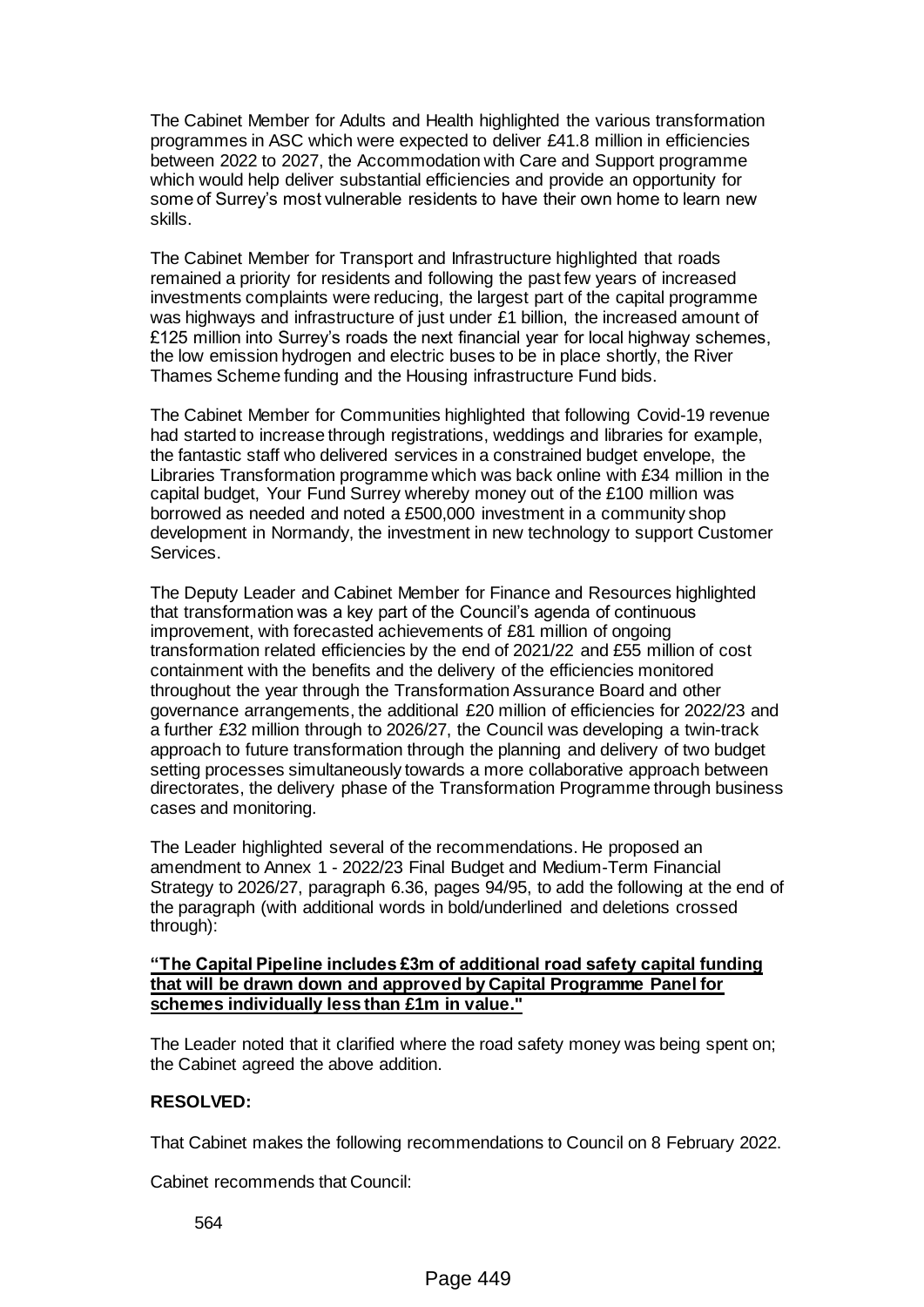The Cabinet Member for Adults and Health highlighted the various transformation programmes in ASC which were expected to deliver £41.8 million in efficiencies between 2022 to 2027, the Accommodation with Care and Support programme which would help deliver substantial efficiencies and provide an opportunity for some of Surrey's most vulnerable residents to have their own home to learn new skills.

The Cabinet Member for Transport and Infrastructure highlighted that roads remained a priority for residents and following the past few years of increased investments complaints were reducing, the largest part of the capital programme was highways and infrastructure of just under £1 billion, the increased amount of £125 million into Surrey's roads the next financial year for local highway schemes, the low emission hydrogen and electric buses to be in place shortly, the River Thames Scheme funding and the Housing infrastructure Fund bids.

The Cabinet Member for Communities highlighted that following Covid-19 revenue had started to increase through registrations, weddings and libraries for example, the fantastic staff who delivered services in a constrained budget envelope, the Libraries Transformation programme which was back online with £34 million in the capital budget, Your Fund Surrey whereby money out of the £100 million was borrowed as needed and noted a £500,000 investment in a community shop development in Normandy, the investment in new technology to support Customer Services.

The Deputy Leader and Cabinet Member for Finance and Resources highlighted that transformation was a key part of the Council's agenda of continuous improvement, with forecasted achievements of £81 million of ongoing transformation related efficiencies by the end of 2021/22 and £55 million of cost containment with the benefits and the delivery of the efficiencies monitored throughout the year through the Transformation Assurance Board and other governance arrangements, the additional £20 million of efficiencies for 2022/23 and a further £32 million through to 2026/27, the Council was developing a twin-track approach to future transformation through the planning and delivery of two budget setting processes simultaneously towards a more collaborative approach between directorates, the delivery phase of the Transformation Programme through business cases and monitoring.

The Leader highlighted several of the recommendations. He proposed an amendment to Annex 1 - 2022/23 Final Budget and Medium-Term Financial Strategy to 2026/27, paragraph 6.36, pages 94/95, to add the following at the end of the paragraph (with additional words in bold/underlined and deletions crossed through):

#### **"The Capital Pipeline includes £3m of additional road safety capital funding that will be drawn down and approved by Capital Programme Panel for schemes individually less than £1m in value."**

The Leader noted that it clarified where the road safety money was being spent on; the Cabinet agreed the above addition.

#### **RESOLVED:**

That Cabinet makes the following recommendations to Council on 8 February 2022.

Cabinet recommends that Council: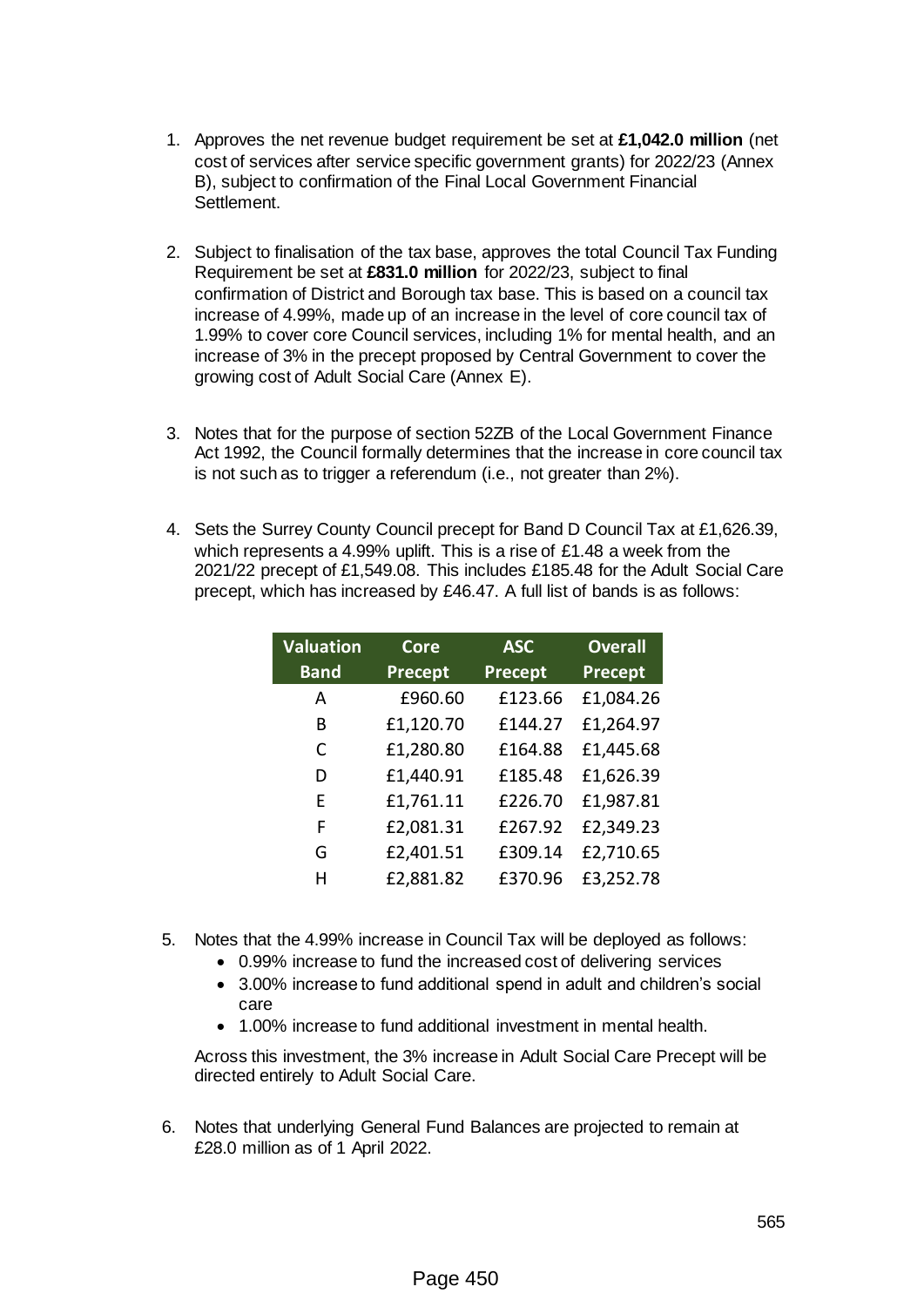- 1. Approves the net revenue budget requirement be set at **£1,042.0 million** (net cost of services after service specific government grants) for 2022/23 (Annex B), subject to confirmation of the Final Local Government Financial Settlement.
- 2. Subject to finalisation of the tax base, approves the total Council Tax Funding Requirement be set at **£831.0 million** for 2022/23, subject to final confirmation of District and Borough tax base. This is based on a council tax increase of 4.99%, made up of an increase in the level of core council tax of 1.99% to cover core Council services, including 1% for mental health, and an increase of 3% in the precept proposed by Central Government to cover the growing cost of Adult Social Care (Annex E).
- 3. Notes that for the purpose of section 52ZB of the Local Government Finance Act 1992, the Council formally determines that the increase in core council tax is not such as to trigger a referendum (i.e., not greater than 2%).
- 4. Sets the Surrey County Council precept for Band D Council Tax at £1,626.39, which represents a 4.99% uplift. This is a rise of £1.48 a week from the 2021/22 precept of £1,549.08. This includes £185.48 for the Adult Social Care precept, which has increased by £46.47. A full list of bands is as follows:

| <b>Valuation</b> | <b>Core</b>    | <b>ASC</b>     | <b>Overall</b> |
|------------------|----------------|----------------|----------------|
| <b>Band</b>      | <b>Precept</b> | <b>Precept</b> | Precept        |
| А                | £960.60        | £123.66        | £1,084.26      |
| B                | £1,120.70      | £144.27        | £1,264.97      |
| C                | £1,280.80      | £164.88        | £1,445.68      |
| D                | £1,440.91      | £185.48        | £1,626.39      |
| F                | £1,761.11      | £226.70        | £1,987.81      |
| F                | £2,081.31      | £267.92        | £2,349.23      |
| G                | £2,401.51      | £309.14        | £2,710.65      |
| н                | £2,881.82      | £370.96        | £3,252.78      |

- 5. Notes that the 4.99% increase in Council Tax will be deployed as follows:
	- 0.99% increase to fund the increased cost of delivering services
	- 3.00% increase to fund additional spend in adult and children's social care
	- 1.00% increase to fund additional investment in mental health.

Across this investment, the 3% increase in Adult Social Care Precept will be directed entirely to Adult Social Care.

6. Notes that underlying General Fund Balances are projected to remain at £28.0 million as of 1 April 2022.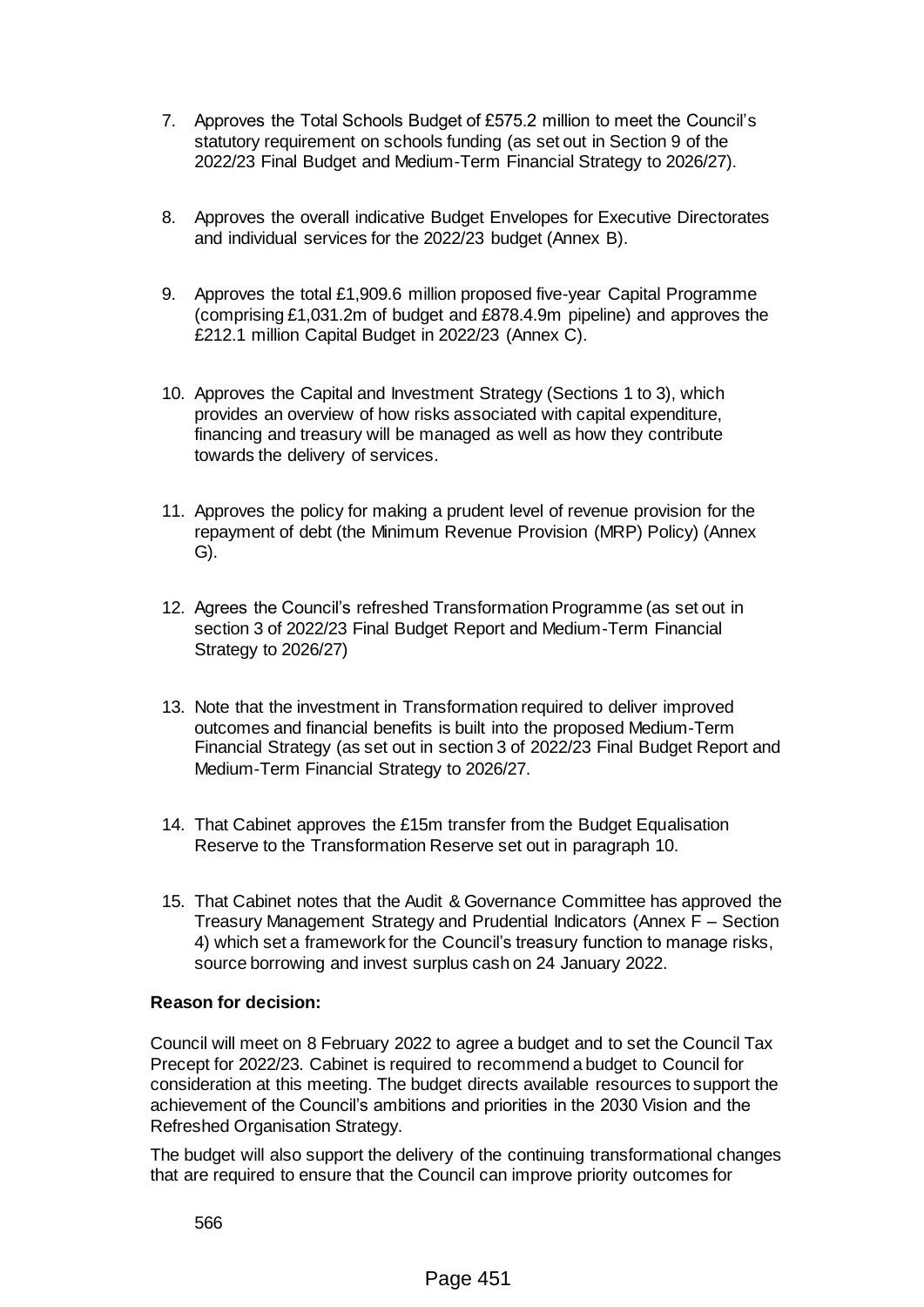- 7. Approves the Total Schools Budget of £575.2 million to meet the Council's statutory requirement on schools funding (as set out in Section 9 of the 2022/23 Final Budget and Medium-Term Financial Strategy to 2026/27).
- 8. Approves the overall indicative Budget Envelopes for Executive Directorates and individual services for the 2022/23 budget (Annex B).
- 9. Approves the total £1,909.6 million proposed five-year Capital Programme (comprising £1,031.2m of budget and £878.4.9m pipeline) and approves the £212.1 million Capital Budget in 2022/23 (Annex C).
- 10. Approves the Capital and Investment Strategy (Sections 1 to 3), which provides an overview of how risks associated with capital expenditure, financing and treasury will be managed as well as how they contribute towards the delivery of services.
- 11. Approves the policy for making a prudent level of revenue provision for the repayment of debt (the Minimum Revenue Provision (MRP) Policy) (Annex G).
- 12. Agrees the Council's refreshed Transformation Programme (as set out in section 3 of 2022/23 Final Budget Report and Medium-Term Financial Strategy to 2026/27)
- 13. Note that the investment in Transformation required to deliver improved outcomes and financial benefits is built into the proposed Medium-Term Financial Strategy (as set out in section 3 of 2022/23 Final Budget Report and Medium-Term Financial Strategy to 2026/27.
- 14. That Cabinet approves the £15m transfer from the Budget Equalisation Reserve to the Transformation Reserve set out in paragraph 10.
- 15. That Cabinet notes that the Audit & Governance Committee has approved the Treasury Management Strategy and Prudential Indicators (Annex F – Section 4) which set a framework for the Council's treasury function to manage risks, source borrowing and invest surplus cash on 24 January 2022.

## **Reason for decision:**

Council will meet on 8 February 2022 to agree a budget and to set the Council Tax Precept for 2022/23. Cabinet is required to recommend a budget to Council for consideration at this meeting. The budget directs available resources to support the achievement of the Council's ambitions and priorities in the 2030 Vision and the Refreshed Organisation Strategy.

The budget will also support the delivery of the continuing transformational changes that are required to ensure that the Council can improve priority outcomes for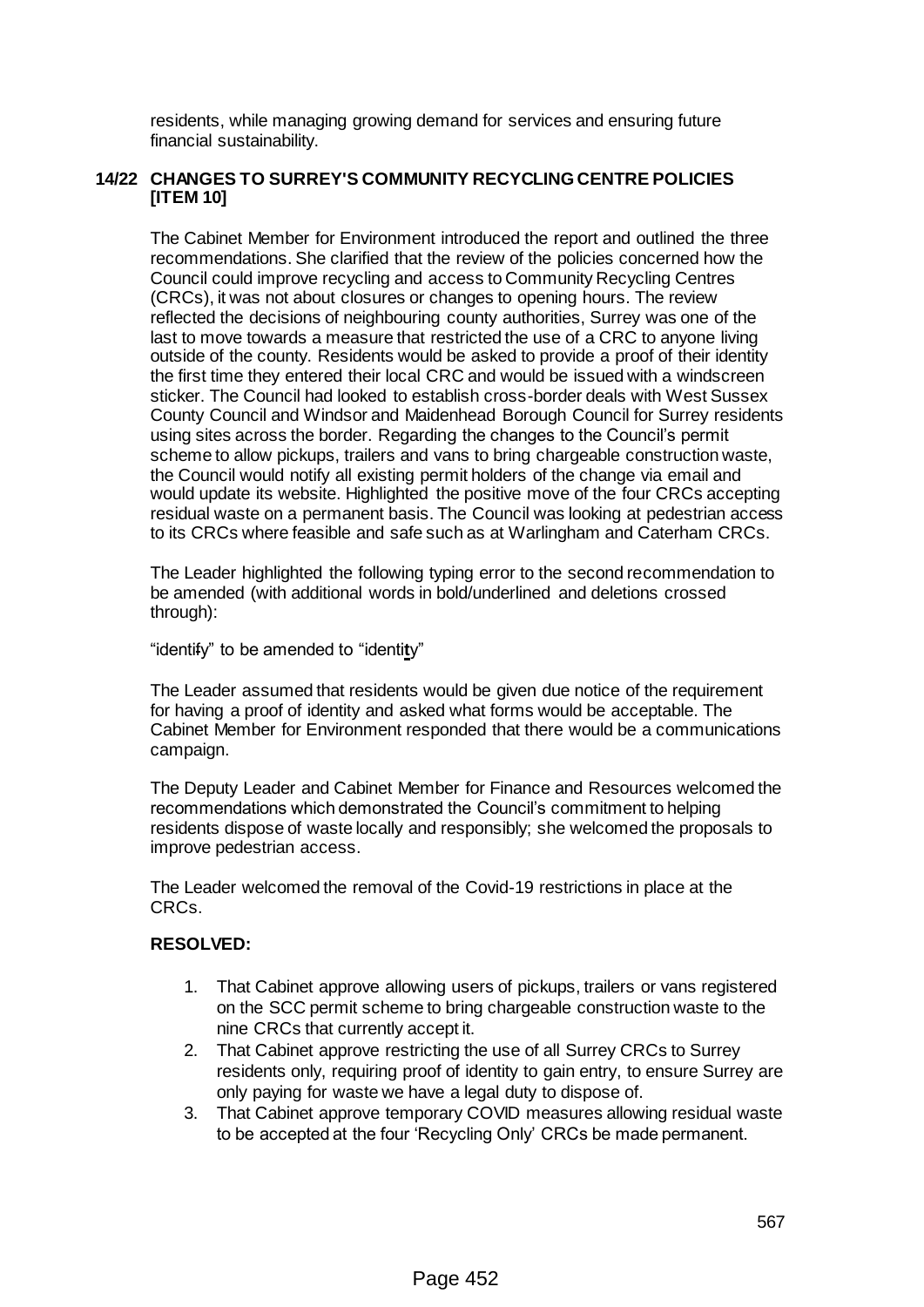residents, while managing growing demand for services and ensuring future financial sustainability.

## **14/22 CHANGES TO SURREY'S COMMUNITY RECYCLING CENTRE POLICIES [ITEM 10]**

The Cabinet Member for Environment introduced the report and outlined the three recommendations. She clarified that the review of the policies concerned how the Council could improve recycling and access to Community Recycling Centres (CRCs), it was not about closures or changes to opening hours. The review reflected the decisions of neighbouring county authorities, Surrey was one of the last to move towards a measure that restricted the use of a CRC to anyone living outside of the county. Residents would be asked to provide a proof of their identity the first time they entered their local CRC and would be issued with a windscreen sticker. The Council had looked to establish cross-border deals with West Sussex County Council and Windsor and Maidenhead Borough Council for Surrey residents using sites across the border. Regarding the changes to the Council's permit scheme to allow pickups, trailers and vans to bring chargeable construction waste, the Council would notify all existing permit holders of the change via email and would update its website. Highlighted the positive move of the four CRCs accepting residual waste on a permanent basis. The Council was looking at pedestrian access to its CRCs where feasible and safe such as at Warlingham and Caterham CRCs.

The Leader highlighted the following typing error to the second recommendation to be amended (with additional words in bold/underlined and deletions crossed through):

"identify" to be amended to "identi**t**y"

The Leader assumed that residents would be given due notice of the requirement for having a proof of identity and asked what forms would be acceptable. The Cabinet Member for Environment responded that there would be a communications campaign.

The Deputy Leader and Cabinet Member for Finance and Resources welcomed the recommendations which demonstrated the Council's commitment to helping residents dispose of waste locally and responsibly; she welcomed the proposals to improve pedestrian access.

The Leader welcomed the removal of the Covid-19 restrictions in place at the CRCs.

## **RESOLVED:**

- 1. That Cabinet approve allowing users of pickups, trailers or vans registered on the SCC permit scheme to bring chargeable construction waste to the nine CRCs that currently accept it.
- 2. That Cabinet approve restricting the use of all Surrey CRCs to Surrey residents only, requiring proof of identity to gain entry, to ensure Surrey are only paying for waste we have a legal duty to dispose of.
- 3. That Cabinet approve temporary COVID measures allowing residual waste to be accepted at the four 'Recycling Only' CRCs be made permanent.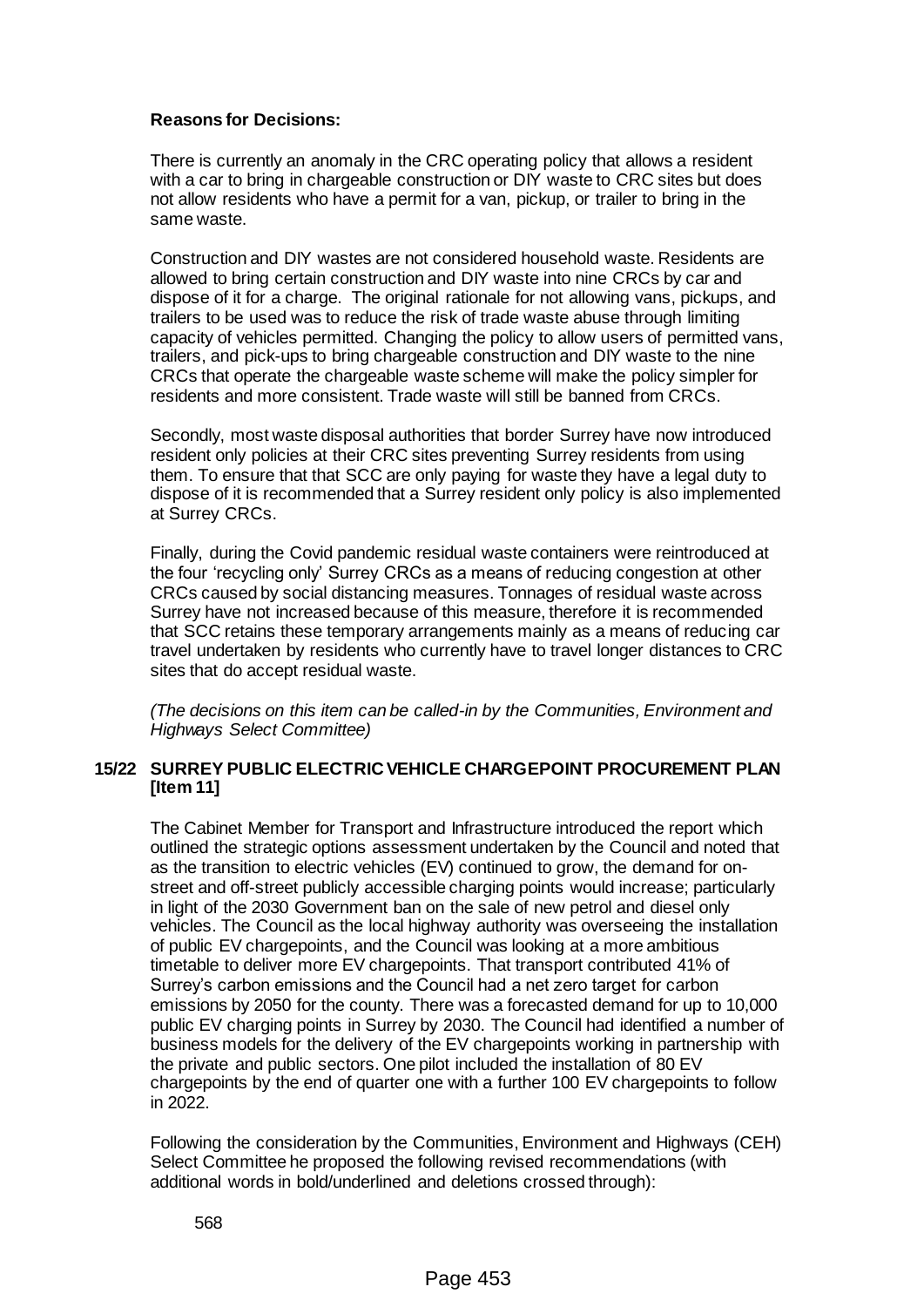## **Reasons for Decisions:**

There is currently an anomaly in the CRC operating policy that allows a resident with a car to bring in chargeable construction or DIY waste to CRC sites but does not allow residents who have a permit for a van, pickup, or trailer to bring in the same waste.

Construction and DIY wastes are not considered household waste. Residents are allowed to bring certain construction and DIY waste into nine CRCs by car and dispose of it for a charge. The original rationale for not allowing vans, pickups, and trailers to be used was to reduce the risk of trade waste abuse through limiting capacity of vehicles permitted. Changing the policy to allow users of permitted vans, trailers, and pick-ups to bring chargeable construction and DIY waste to the nine CRCs that operate the chargeable waste scheme will make the policy simpler for residents and more consistent. Trade waste will still be banned from CRCs.

Secondly, most waste disposal authorities that border Surrey have now introduced resident only policies at their CRC sites preventing Surrey residents from using them. To ensure that that SCC are only paying for waste they have a legal duty to dispose of it is recommended that a Surrey resident only policy is also implemented at Surrey CRCs.

Finally, during the Covid pandemic residual waste containers were reintroduced at the four 'recycling only' Surrey CRCs as a means of reducing congestion at other CRCs caused by social distancing measures. Tonnages of residual waste across Surrey have not increased because of this measure, therefore it is recommended that SCC retains these temporary arrangements mainly as a means of reducing car travel undertaken by residents who currently have to travel longer distances to CRC sites that do accept residual waste.

*(The decisions on this item can be called-in by the Communities, Environment and Highways Select Committee)*

#### **15/22 SURREY PUBLIC ELECTRIC VEHICLE CHARGEPOINT PROCUREMENT PLAN [Item 11]**

The Cabinet Member for Transport and Infrastructure introduced the report which outlined the strategic options assessment undertaken by the Council and noted that as the transition to electric vehicles (EV) continued to grow, the demand for onstreet and off-street publicly accessible charging points would increase; particularly in light of the 2030 Government ban on the sale of new petrol and diesel only vehicles. The Council as the local highway authority was overseeing the installation of public EV chargepoints, and the Council was looking at a more ambitious timetable to deliver more EV chargepoints. That transport contributed 41% of Surrey's carbon emissions and the Council had a net zero target for carbon emissions by 2050 for the county. There was a forecasted demand for up to 10,000 public EV charging points in Surrey by 2030. The Council had identified a number of business models for the delivery of the EV chargepoints working in partnership with the private and public sectors. One pilot included the installation of 80 EV chargepoints by the end of quarter one with a further 100 EV chargepoints to follow in 2022.

Following the consideration by the Communities, Environment and Highways (CEH) Select Committee he proposed the following revised recommendations (with additional words in bold/underlined and deletions crossed through):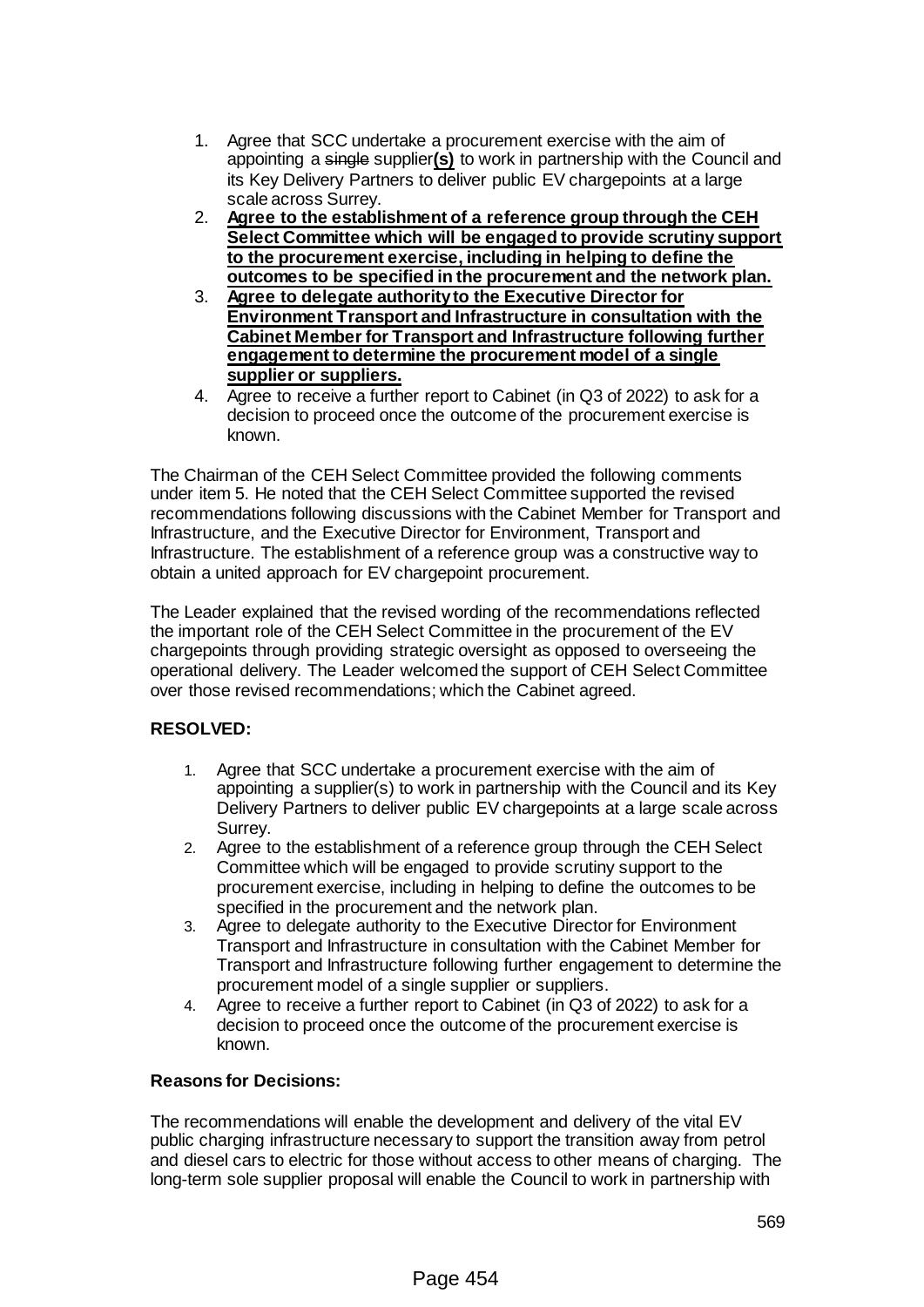- 1. Agree that SCC undertake a procurement exercise with the aim of appointing a single supplier**(s)** to work in partnership with the Council and its Key Delivery Partners to deliver public EV chargepoints at a large scale across Surrey.
- 2. **Agree to the establishment of a reference group through the CEH Select Committee which will be engaged to provide scrutiny support to the procurement exercise, including in helping to define the outcomes to be specified in the procurement and the network plan.**
- 3. **Agree to delegate authority to the Executive Director for Environment Transport and Infrastructure in consultation with the Cabinet Member for Transport and Infrastructure following further engagement to determine the procurement model of a single supplier or suppliers.**
- 4. Agree to receive a further report to Cabinet (in Q3 of 2022) to ask for a decision to proceed once the outcome of the procurement exercise is known.

The Chairman of the CEH Select Committee provided the following comments under item 5. He noted that the CEH Select Committee supported the revised recommendations following discussions with the Cabinet Member for Transport and Infrastructure, and the Executive Director for Environment, Transport and Infrastructure. The establishment of a reference group was a constructive way to obtain a united approach for EV chargepoint procurement.

The Leader explained that the revised wording of the recommendations reflected the important role of the CEH Select Committee in the procurement of the EV chargepoints through providing strategic oversight as opposed to overseeing the operational delivery. The Leader welcomed the support of CEH Select Committee over those revised recommendations; which the Cabinet agreed.

## **RESOLVED:**

- 1. Agree that SCC undertake a procurement exercise with the aim of appointing a supplier(s) to work in partnership with the Council and its Key Delivery Partners to deliver public EV chargepoints at a large scale across Surrey.
- 2. Agree to the establishment of a reference group through the CEH Select Committee which will be engaged to provide scrutiny support to the procurement exercise, including in helping to define the outcomes to be specified in the procurement and the network plan.
- 3. Agree to delegate authority to the Executive Director for Environment Transport and Infrastructure in consultation with the Cabinet Member for Transport and Infrastructure following further engagement to determine the procurement model of a single supplier or suppliers.
- 4. Agree to receive a further report to Cabinet (in Q3 of 2022) to ask for a decision to proceed once the outcome of the procurement exercise is known.

## **Reasons for Decisions:**

The recommendations will enable the development and delivery of the vital EV public charging infrastructure necessary to support the transition away from petrol and diesel cars to electric for those without access to other means of charging. The long-term sole supplier proposal will enable the Council to work in partnership with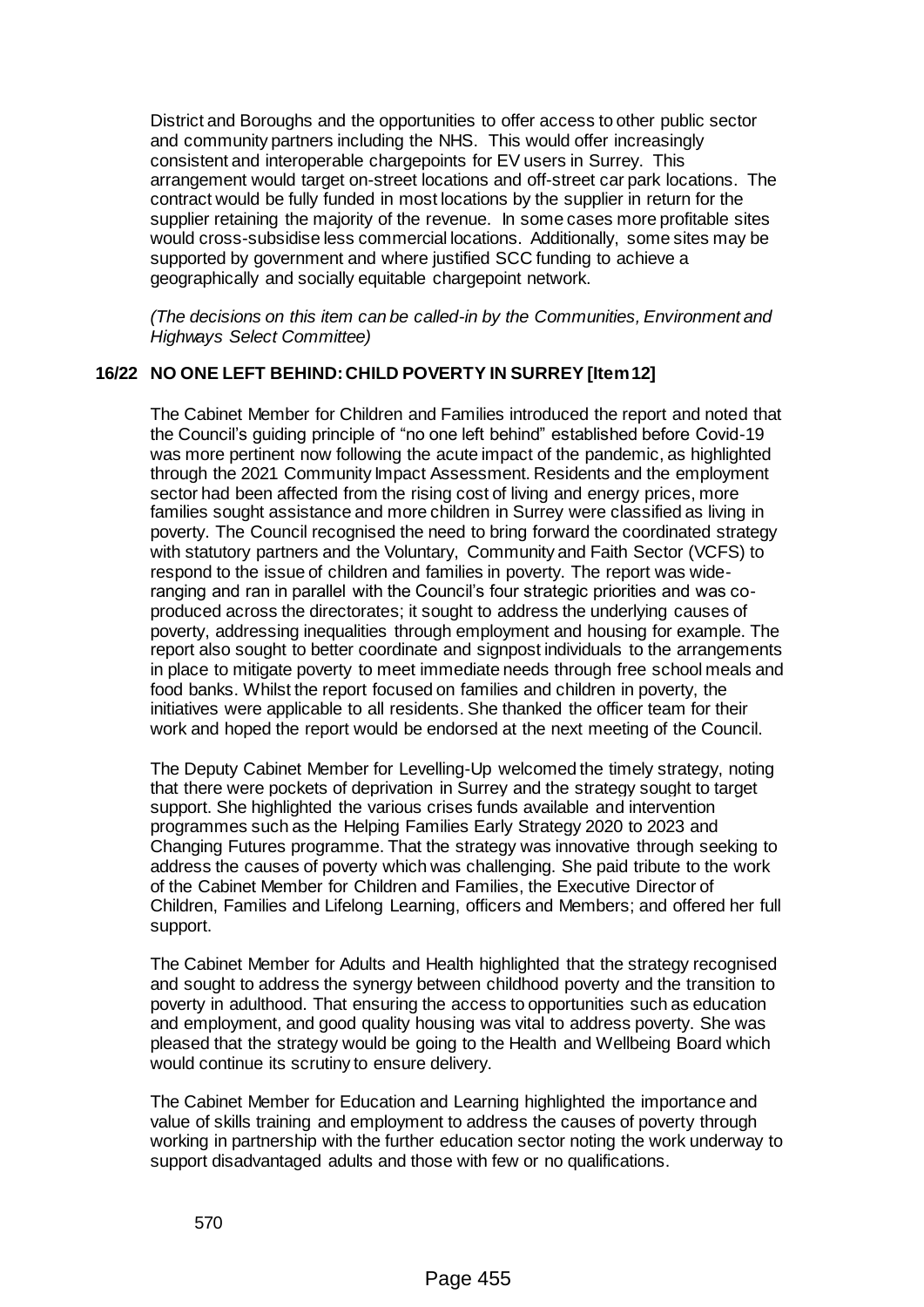District and Boroughs and the opportunities to offer access to other public sector and community partners including the NHS. This would offer increasingly consistent and interoperable chargepoints for EV users in Surrey. This arrangement would target on-street locations and off-street car park locations. The contract would be fully funded in most locations by the supplier in return for the supplier retaining the majority of the revenue. In some cases more profitable sites would cross-subsidise less commercial locations. Additionally, some sites may be supported by government and where justified SCC funding to achieve a geographically and socially equitable chargepoint network.

*(The decisions on this item can be called-in by the Communities, Environment and Highways Select Committee)*

## **16/22 NO ONE LEFT BEHIND: CHILD POVERTY IN SURREY [Item 12]**

The Cabinet Member for Children and Families introduced the report and noted that the Council's guiding principle of "no one left behind" established before Covid-19 was more pertinent now following the acute impact of the pandemic, as highlighted through the 2021 Community Impact Assessment. Residents and the employment sector had been affected from the rising cost of living and energy prices, more families sought assistance and more children in Surrey were classified as living in poverty. The Council recognised the need to bring forward the coordinated strategy with statutory partners and the Voluntary, Community and Faith Sector (VCFS) to respond to the issue of children and families in poverty. The report was wideranging and ran in parallel with the Council's four strategic priorities and was coproduced across the directorates; it sought to address the underlying causes of poverty, addressing inequalities through employment and housing for example. The report also sought to better coordinate and signpost individuals to the arrangements in place to mitigate poverty to meet immediate needs through free school meals and food banks. Whilst the report focused on families and children in poverty, the initiatives were applicable to all residents. She thanked the officer team for their work and hoped the report would be endorsed at the next meeting of the Council.

The Deputy Cabinet Member for Levelling-Up welcomed the timely strategy, noting that there were pockets of deprivation in Surrey and the strategy sought to target support. She highlighted the various crises funds available and intervention programmes such as the Helping Families Early Strategy 2020 to 2023 and Changing Futures programme. That the strategy was innovative through seeking to address the causes of poverty which was challenging. She paid tribute to the work of the Cabinet Member for Children and Families, the Executive Director of Children, Families and Lifelong Learning, officers and Members; and offered her full support.

The Cabinet Member for Adults and Health highlighted that the strategy recognised and sought to address the synergy between childhood poverty and the transition to poverty in adulthood. That ensuring the access to opportunities such as education and employment, and good quality housing was vital to address poverty. She was pleased that the strategy would be going to the Health and Wellbeing Board which would continue its scrutiny to ensure delivery.

The Cabinet Member for Education and Learning highlighted the importance and value of skills training and employment to address the causes of poverty through working in partnership with the further education sector noting the work underway to support disadvantaged adults and those with few or no qualifications.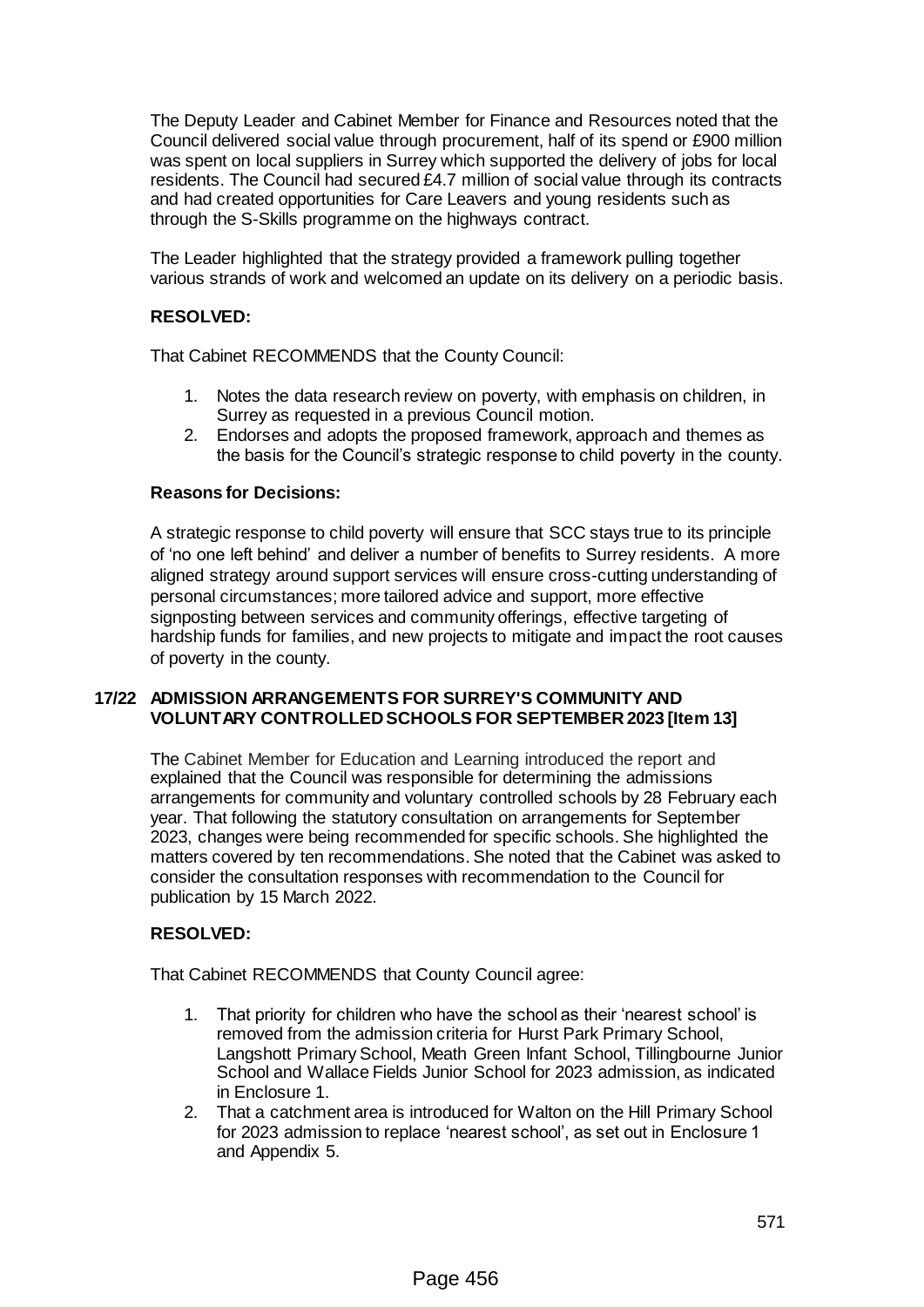The Deputy Leader and Cabinet Member for Finance and Resources noted that the Council delivered social value through procurement, half of its spend or £900 million was spent on local suppliers in Surrey which supported the delivery of jobs for local residents. The Council had secured £4.7 million of social value through its contracts and had created opportunities for Care Leavers and young residents such as through the S-Skills programme on the highways contract.

The Leader highlighted that the strategy provided a framework pulling together various strands of work and welcomed an update on its delivery on a periodic basis.

## **RESOLVED:**

That Cabinet RECOMMENDS that the County Council:

- 1. Notes the data research review on poverty, with emphasis on children, in Surrey as requested in a previous Council motion.
- 2. Endorses and adopts the proposed framework, approach and themes as the basis for the Council's strategic response to child poverty in the county.

#### **Reasons for Decisions:**

A strategic response to child poverty will ensure that SCC stays true to its principle of 'no one left behind' and deliver a number of benefits to Surrey residents. A more aligned strategy around support services will ensure cross-cutting understanding of personal circumstances; more tailored advice and support, more effective signposting between services and community offerings, effective targeting of hardship funds for families, and new projects to mitigate and impact the root causes of poverty in the county.

#### **17/22 ADMISSION ARRANGEMENTS FOR SURREY'S COMMUNITY AND VOLUNTARY CONTROLLED SCHOOLS FOR SEPTEMBER 2023 [Item 13]**

The Cabinet Member for Education and Learning introduced the report and explained that the Council was responsible for determining the admissions arrangements for community and voluntary controlled schools by 28 February each year. That following the statutory consultation on arrangements for September 2023, changes were being recommended for specific schools. She highlighted the matters covered by ten recommendations. She noted that the Cabinet was asked to consider the consultation responses with recommendation to the Council for publication by 15 March 2022.

#### **RESOLVED:**

That Cabinet RECOMMENDS that County Council agree:

- 1. That priority for children who have the school as their 'nearest school' is removed from the admission criteria for Hurst Park Primary School, Langshott Primary School, Meath Green Infant School, Tillingbourne Junior School and Wallace Fields Junior School for 2023 admission, as indicated in Enclosure 1.
- 2. That a catchment area is introduced for Walton on the Hill Primary School for 2023 admission to replace 'nearest school', as set out in Enclosure 1 and Appendix 5.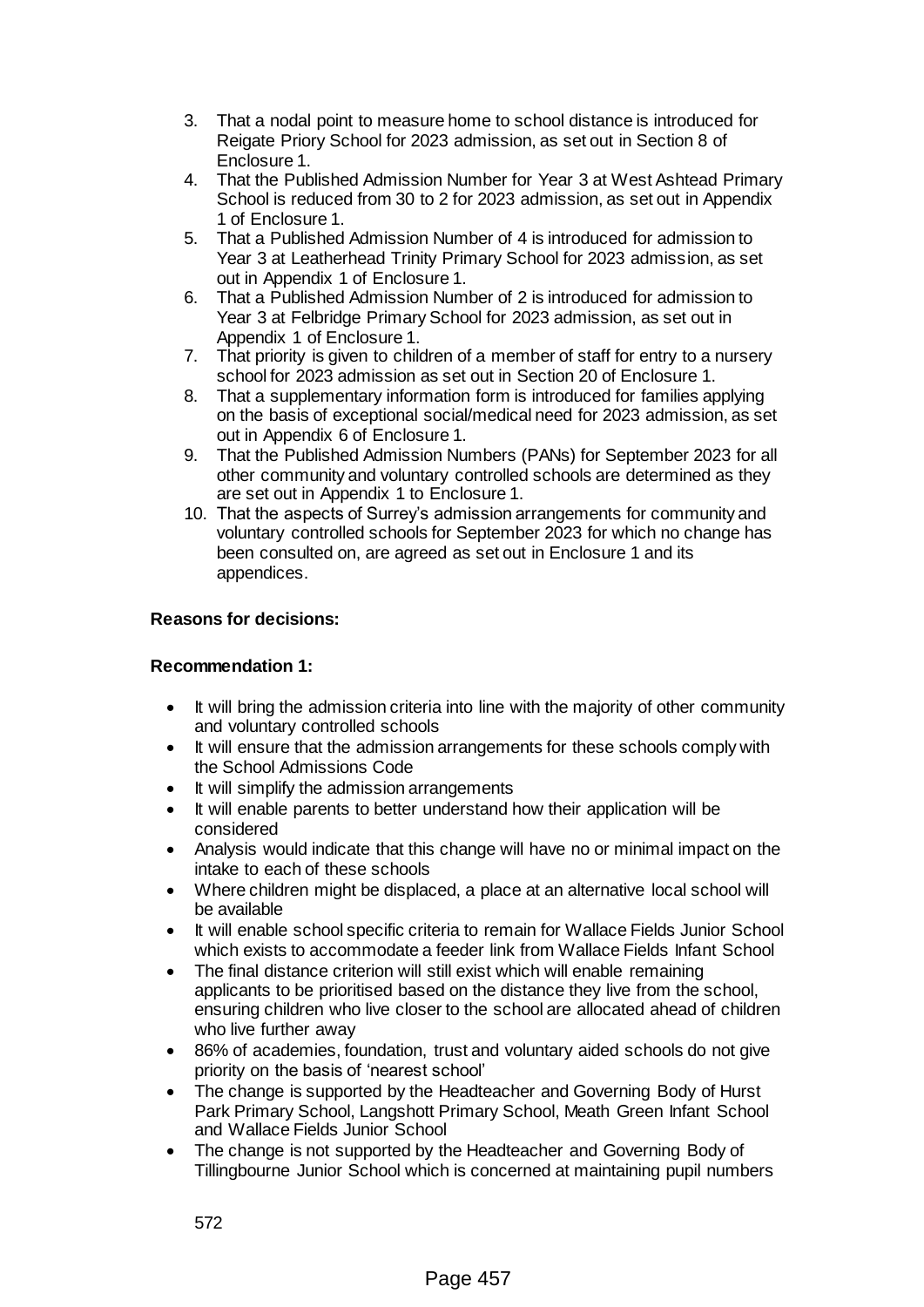- 3. That a nodal point to measure home to school distance is introduced for Reigate Priory School for 2023 admission, as set out in Section 8 of Enclosure 1.
- 4. That the Published Admission Number for Year 3 at West Ashtead Primary School is reduced from 30 to 2 for 2023 admission, as set out in Appendix 1 of Enclosure 1.
- 5. That a Published Admission Number of 4 is introduced for admission to Year 3 at Leatherhead Trinity Primary School for 2023 admission, as set out in Appendix 1 of Enclosure 1.
- 6. That a Published Admission Number of 2 is introduced for admission to Year 3 at Felbridge Primary School for 2023 admission, as set out in Appendix 1 of Enclosure 1.
- 7. That priority is given to children of a member of staff for entry to a nursery school for 2023 admission as set out in Section 20 of Enclosure 1.
- 8. That a supplementary information form is introduced for families applying on the basis of exceptional social/medical need for 2023 admission, as set out in Appendix 6 of Enclosure 1.
- 9. That the Published Admission Numbers (PANs) for September 2023 for all other community and voluntary controlled schools are determined as they are set out in Appendix 1 to Enclosure 1.
- 10. That the aspects of Surrey's admission arrangements for community and voluntary controlled schools for September 2023 for which no change has been consulted on, are agreed as set out in Enclosure 1 and its appendices.

## **Reasons for decisions:**

#### **Recommendation 1:**

- It will bring the admission criteria into line with the majority of other community and voluntary controlled schools
- It will ensure that the admission arrangements for these schools comply with the School Admissions Code
- It will simplify the admission arrangements
- It will enable parents to better understand how their application will be considered
- Analysis would indicate that this change will have no or minimal impact on the intake to each of these schools
- Where children might be displaced, a place at an alternative local school will be available
- It will enable school specific criteria to remain for Wallace Fields Junior School which exists to accommodate a feeder link from Wallace Fields Infant School
- The final distance criterion will still exist which will enable remaining applicants to be prioritised based on the distance they live from the school, ensuring children who live closer to the school are allocated ahead of children who live further away
- 86% of academies, foundation, trust and voluntary aided schools do not give priority on the basis of 'nearest school'
- The change is supported by the Headteacher and Governing Body of Hurst Park Primary School, Langshott Primary School, Meath Green Infant School and Wallace Fields Junior School
- The change is not supported by the Headteacher and Governing Body of Tillingbourne Junior School which is concerned at maintaining pupil numbers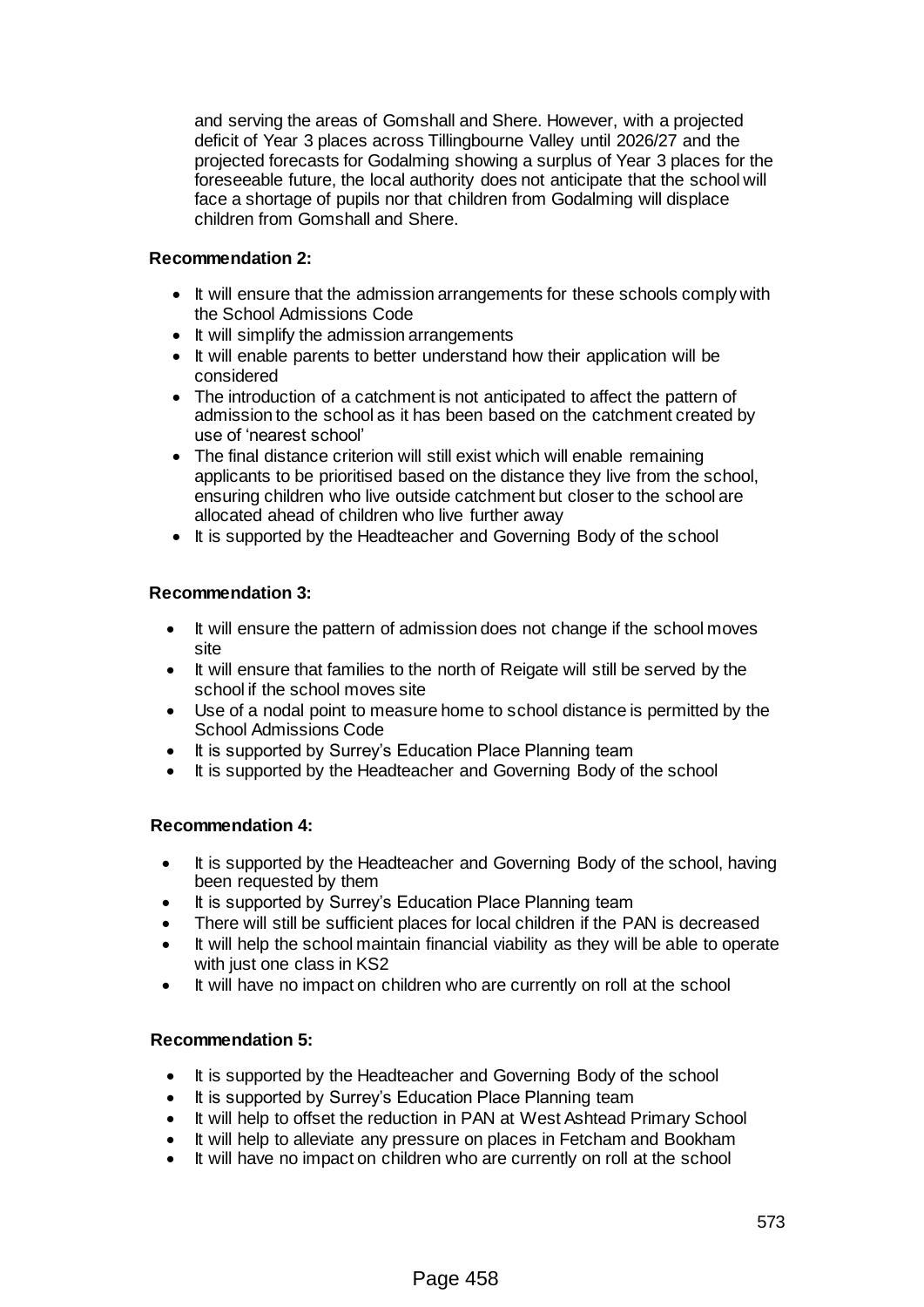and serving the areas of Gomshall and Shere. However, with a projected deficit of Year 3 places across Tillingbourne Valley until 2026/27 and the projected forecasts for Godalming showing a surplus of Year 3 places for the foreseeable future, the local authority does not anticipate that the school will face a shortage of pupils nor that children from Godalming will displace children from Gomshall and Shere.

## **Recommendation 2:**

- It will ensure that the admission arrangements for these schools comply with the School Admissions Code
- It will simplify the admission arrangements
- It will enable parents to better understand how their application will be considered
- The introduction of a catchment is not anticipated to affect the pattern of admission to the school as it has been based on the catchment created by use of 'nearest school'
- The final distance criterion will still exist which will enable remaining applicants to be prioritised based on the distance they live from the school, ensuring children who live outside catchment but closer to the school are allocated ahead of children who live further away
- It is supported by the Headteacher and Governing Body of the school

## **Recommendation 3:**

- It will ensure the pattern of admission does not change if the school moves site
- It will ensure that families to the north of Reigate will still be served by the school if the school moves site
- Use of a nodal point to measure home to school distance is permitted by the School Admissions Code
- It is supported by Surrey's Education Place Planning team
- It is supported by the Headteacher and Governing Body of the school

#### **Recommendation 4:**

- It is supported by the Headteacher and Governing Body of the school, having been requested by them
- It is supported by Surrey's Education Place Planning team
- There will still be sufficient places for local children if the PAN is decreased
- It will help the school maintain financial viability as they will be able to operate with just one class in KS2
- It will have no impact on children who are currently on roll at the school

## **Recommendation 5:**

- It is supported by the Headteacher and Governing Body of the school
- It is supported by Surrey's Education Place Planning team
- It will help to offset the reduction in PAN at West Ashtead Primary School
- It will help to alleviate any pressure on places in Fetcham and Bookham
- It will have no impact on children who are currently on roll at the school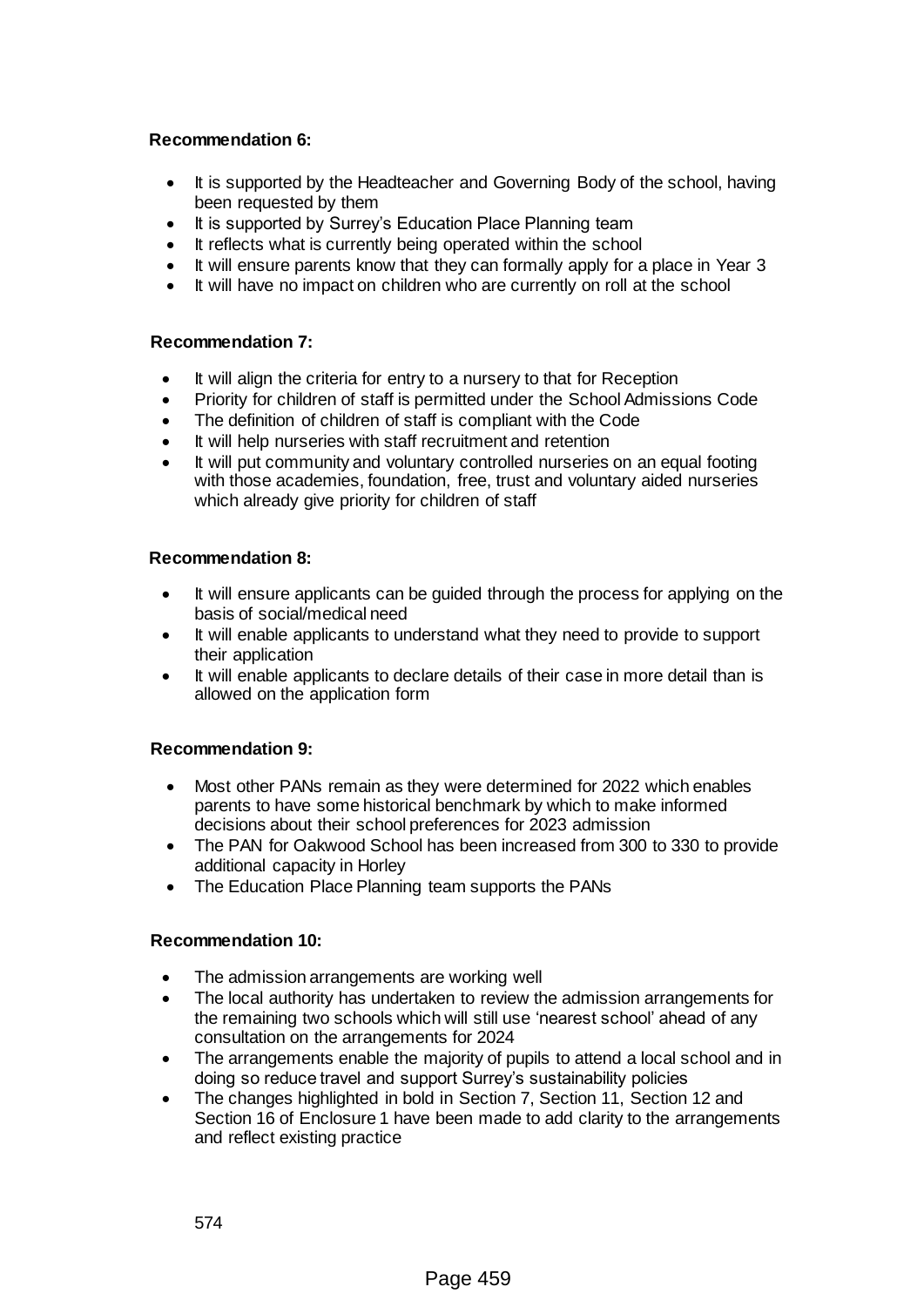## **Recommendation 6:**

- It is supported by the Headteacher and Governing Body of the school, having been requested by them
- It is supported by Surrey's Education Place Planning team
- It reflects what is currently being operated within the school
- It will ensure parents know that they can formally apply for a place in Year 3
- It will have no impact on children who are currently on roll at the school

## **Recommendation 7:**

- It will align the criteria for entry to a nursery to that for Reception
- Priority for children of staff is permitted under the School Admissions Code
- The definition of children of staff is compliant with the Code
- It will help nurseries with staff recruitment and retention
- It will put community and voluntary controlled nurseries on an equal footing with those academies, foundation, free, trust and voluntary aided nurseries which already give priority for children of staff

## **Recommendation 8:**

- It will ensure applicants can be quided through the process for applying on the basis of social/medical need
- It will enable applicants to understand what they need to provide to support their application
- It will enable applicants to declare details of their case in more detail than is allowed on the application form

#### **Recommendation 9:**

- Most other PANs remain as they were determined for 2022 which enables parents to have some historical benchmark by which to make informed decisions about their school preferences for 2023 admission
- The PAN for Oakwood School has been increased from 300 to 330 to provide additional capacity in Horley
- The Education Place Planning team supports the PANs

#### **Recommendation 10:**

- The admission arrangements are working well
- The local authority has undertaken to review the admission arrangements for the remaining two schools which will still use 'nearest school' ahead of any consultation on the arrangements for 2024
- The arrangements enable the majority of pupils to attend a local school and in doing so reduce travel and support Surrey's sustainability policies
- The changes highlighted in bold in Section 7, Section 11, Section 12 and Section 16 of Enclosure 1 have been made to add clarity to the arrangements and reflect existing practice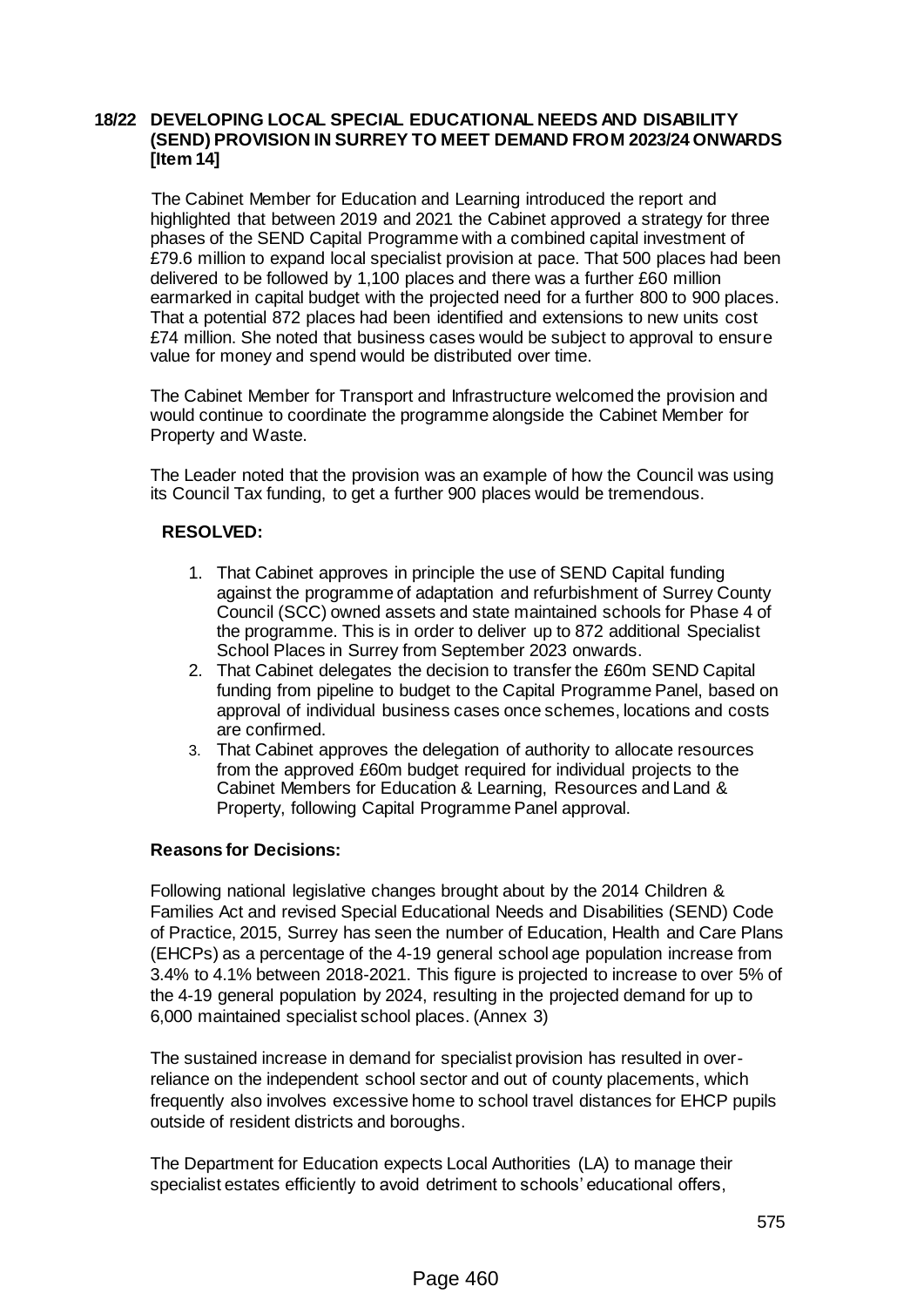#### **18/22 DEVELOPING LOCAL SPECIAL EDUCATIONAL NEEDS AND DISABILITY (SEND) PROVISION IN SURREY TO MEET DEMAND FROM 2023/24 ONWARDS [Item 14]**

The Cabinet Member for Education and Learning introduced the report and highlighted that between 2019 and 2021 the Cabinet approved a strategy for three phases of the SEND Capital Programme with a combined capital investment of £79.6 million to expand local specialist provision at pace. That 500 places had been delivered to be followed by 1,100 places and there was a further £60 million earmarked in capital budget with the projected need for a further 800 to 900 places. That a potential 872 places had been identified and extensions to new units cost £74 million. She noted that business cases would be subject to approval to ensure value for money and spend would be distributed over time.

The Cabinet Member for Transport and Infrastructure welcomed the provision and would continue to coordinate the programme alongside the Cabinet Member for Property and Waste.

The Leader noted that the provision was an example of how the Council was using its Council Tax funding, to get a further 900 places would be tremendous.

#### **RESOLVED:**

- 1. That Cabinet approves in principle the use of SEND Capital funding against the programme of adaptation and refurbishment of Surrey County Council (SCC) owned assets and state maintained schools for Phase 4 of the programme. This is in order to deliver up to 872 additional Specialist School Places in Surrey from September 2023 onwards.
- 2. That Cabinet delegates the decision to transfer the £60m SEND Capital funding from pipeline to budget to the Capital Programme Panel, based on approval of individual business cases once schemes, locations and costs are confirmed.
- 3. That Cabinet approves the delegation of authority to allocate resources from the approved £60m budget required for individual projects to the Cabinet Members for Education & Learning, Resources and Land & Property, following Capital Programme Panel approval.

#### **Reasons for Decisions:**

Following national legislative changes brought about by the 2014 Children & Families Act and revised Special Educational Needs and Disabilities (SEND) Code of Practice, 2015, Surrey has seen the number of Education, Health and Care Plans (EHCPs) as a percentage of the 4-19 general school age population increase from 3.4% to 4.1% between 2018-2021. This figure is projected to increase to over 5% of the 4-19 general population by 2024, resulting in the projected demand for up to 6,000 maintained specialist school places. (Annex 3)

The sustained increase in demand for specialist provision has resulted in overreliance on the independent school sector and out of county placements, which frequently also involves excessive home to school travel distances for EHCP pupils outside of resident districts and boroughs.

The Department for Education expects Local Authorities (LA) to manage their specialist estates efficiently to avoid detriment to schools' educational offers,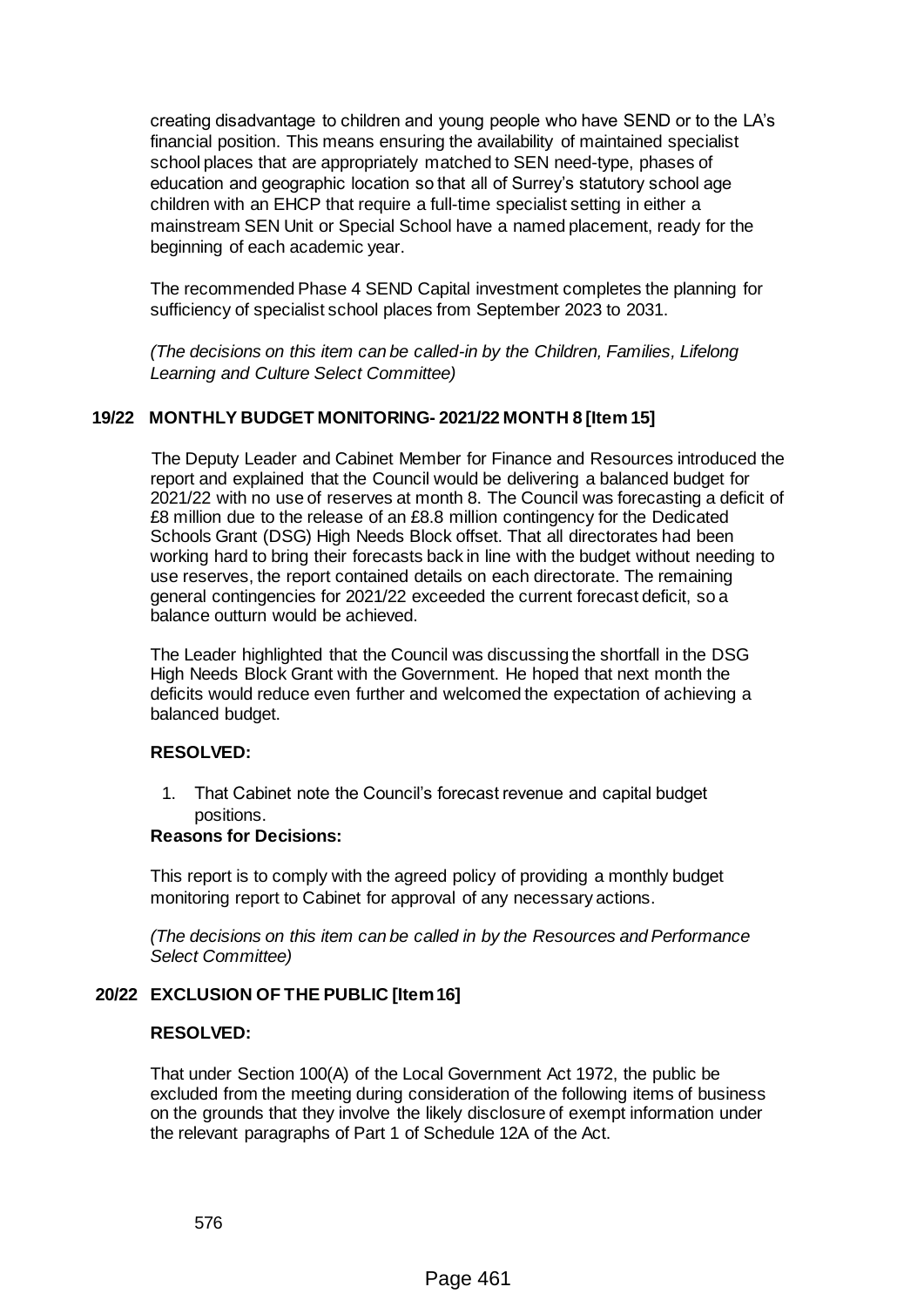creating disadvantage to children and young people who have SEND or to the LA's financial position. This means ensuring the availability of maintained specialist school places that are appropriately matched to SEN need-type, phases of education and geographic location so that all of Surrey's statutory school age children with an EHCP that require a full-time specialist setting in either a mainstream SEN Unit or Special School have a named placement, ready for the beginning of each academic year.

The recommended Phase 4 SEND Capital investment completes the planning for sufficiency of specialist school places from September 2023 to 2031.

*(The decisions on this item can be called-in by the Children, Families, Lifelong Learning and Culture Select Committee)*

## **19/22 MONTHLY BUDGET MONITORING- 2021/22 MONTH 8 [Item 15]**

The Deputy Leader and Cabinet Member for Finance and Resources introduced the report and explained that the Council would be delivering a balanced budget for 2021/22 with no use of reserves at month 8. The Council was forecasting a deficit of £8 million due to the release of an £8.8 million contingency for the Dedicated Schools Grant (DSG) High Needs Block offset. That all directorates had been working hard to bring their forecasts back in line with the budget without needing to use reserves, the report contained details on each directorate. The remaining general contingencies for 2021/22 exceeded the current forecast deficit, so a balance outturn would be achieved.

The Leader highlighted that the Council was discussing the shortfall in the DSG High Needs Block Grant with the Government. He hoped that next month the deficits would reduce even further and welcomed the expectation of achieving a balanced budget.

#### **RESOLVED:**

1. That Cabinet note the Council's forecast revenue and capital budget positions.

#### **Reasons for Decisions:**

This report is to comply with the agreed policy of providing a monthly budget monitoring report to Cabinet for approval of any necessary actions.

*(The decisions on this item can be called in by the Resources and Performance Select Committee)*

#### **20/22 EXCLUSION OF THE PUBLIC [Item 16]**

#### **RESOLVED:**

That under Section 100(A) of the Local Government Act 1972, the public be excluded from the meeting during consideration of the following items of business on the grounds that they involve the likely disclosure of exempt information under the relevant paragraphs of Part 1 of Schedule 12A of the Act.